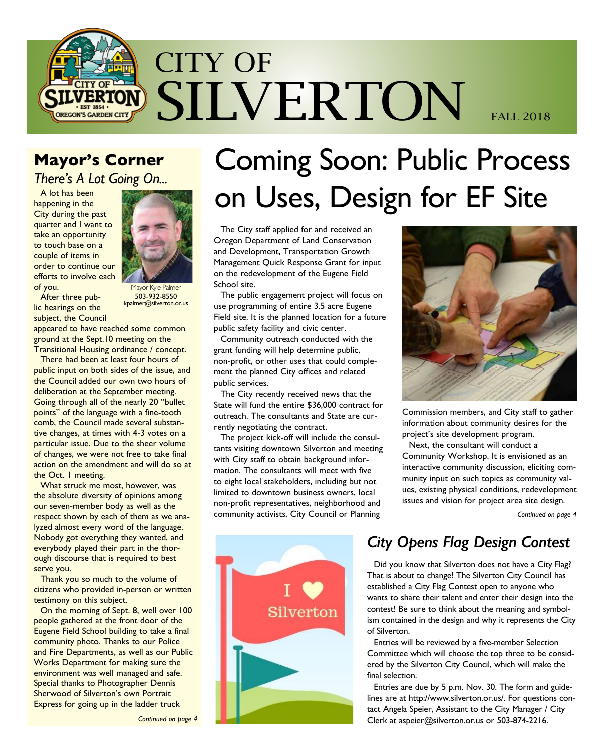

## **Mayor's Corner**

*There's A Lot Going On...*

A lot has been happening in the City during the past quarter and I want to take an opportunity to touch base on a couple of items in order to continue our efforts to involve each of you.



After three public hearings on the subject, the Council

1avor Kyle Palmer 503-932-8550 kpalmer@silverton.or.us

appeared to have reached some common ground at the Sept.10 meeting on the Transitional Housing ordinance / concept.

There had been at least four hours of public input on both sides of the issue, and the Council added our own two hours of deliberation at the September meeting. Going through all of the nearly 20 "bullet points" of the language with a fine-tooth comb, the Council made several substantive changes, at times with 4-3 votes on a particular issue. Due to the sheer volume of changes, we were not free to take final action on the amendment and will do so at the Oct. 1 meeting.

What struck me most, however, was the absolute diversity of opinions among our seven-member body as well as the respect shown by each of them as we analyzed almost every word of the language. Nobody got everything they wanted, and everybody played their part in the thorough discourse that is required to best serve you.

Thank you so much to the volume of citizens who provided in-person or written testimony on this subject.

On the morning of Sept. 8, well over 100 people gathered at the front door of the Eugene Field School building to take a final community photo. Thanks to our Police and Fire Departments, as well as our Public Works Department for making sure the environment was well managed and safe. Special thanks to Photographer Dennis Sherwood of Silverton's own Portrait Express for going up in the ladder truck

# Coming Soon: Public Process on Uses, Design for EF Site

The City staff applied for and received an Oregon Department of Land Conservation and Development, Transportation Growth Management Quick Response Grant for input on the redevelopment of the Eugene Field School site.

The public engagement project will focus on use programming of entire 3.5 acre Eugene Field site. It is the planned location for a future public safety facility and civic center.

Community outreach conducted with the grant funding will help determine public, non-profit, or other uses that could complement the planned City offices and related public services.

The City recently received news that the State will fund the entire \$36,000 contract for outreach. The consultants and State are currently negotiating the contract.

The project kick-off will include the consultants visiting downtown Silverton and meeting with City staff to obtain background information. The consultants will meet with five to eight local stakeholders, including but not limited to downtown business owners, local non-profit representatives, neighborhood and community activists, City Council or Planning



Commission members, and City staff to gather information about community desires for the project's site development program.

Next, the consultant will conduct a Community Workshop. It is envisioned as an interactive community discussion, eliciting community input on such topics as community values, existing physical conditions, redevelopment issues and vision for project area site design.

*Continued on page 4*



## *City Opens Flag Design Contest*

Did you know that Silverton does not have a City Flag? That is about to change! The Silverton City Council has established a City Flag Contest open to anyone who wants to share their talent and enter their design into the contest! Be sure to think about the meaning and symbolism contained in the design and why it represents the City of Silverton.

Entries will be reviewed by a five-member Selection Committee which will choose the top three to be considered by the Silverton City Council, which will make the final selection.

Entries are due by 5 p.m. Nov. 30. The form and guidelines are at http://www.silverton.or.us/. For questions contact Angela Speier, Assistant to the City Manager / City Clerk at aspeier@silverton.or.us or 503-874-2216.

*Continued on page 4*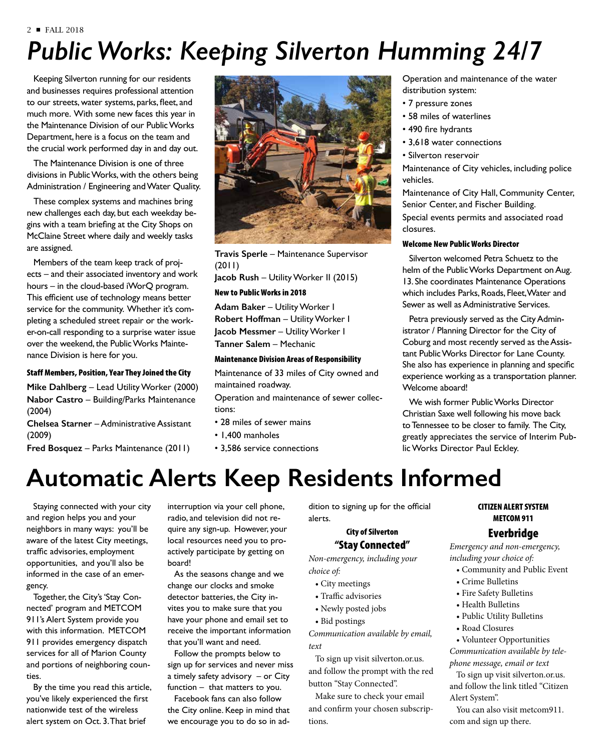#### 2 ■ FALL 2018

# *Public Works: Keeping Silverton Humming 24/7*

Keeping Silverton running for our residents and businesses requires professional attention to our streets, water systems, parks, fleet, and much more. With some new faces this year in the Maintenance Division of our Public Works Department, here is a focus on the team and the crucial work performed day in and day out.

The Maintenance Division is one of three divisions in Public Works, with the others being Administration / Engineering and Water Quality.

These complex systems and machines bring new challenges each day, but each weekday begins with a team briefing at the City Shops on McClaine Street where daily and weekly tasks are assigned.

Members of the team keep track of projects – and their associated inventory and work hours – in the cloud-based iWorQ program. This efficient use of technology means better service for the community. Whether it's completing a scheduled street repair or the worker-on-call responding to a surprise water issue over the weekend, the Public Works Maintenance Division is here for you.

### Staff Members, Position, Year They Joined the City

**Mike Dahlberg** – Lead Utility Worker (2000) **Nabor Castro** – Building/Parks Maintenance (2004)

**Chelsea Starner** – Administrative Assistant (2009)

**Fred Bosquez** – Parks Maintenance (2011)



**Travis Sperle** – Maintenance Supervisor (2011)

**Jacob Rush** – Utility Worker II (2015)

### New to Public Works in 2018

**Adam Baker** – Utility Worker I **Robert Hoffman** – Utility Worker I **Jacob Messmer** – Utility Worker I **Tanner Salem** – Mechanic

#### Maintenance Division Areas of Responsibility

Maintenance of 33 miles of City owned and maintained roadway.

Operation and maintenance of sewer collections:

- 28 miles of sewer mains
- 1,400 manholes
- 3,586 service connections

### Operation and maintenance of the water distribution system:

- 7 pressure zones
- 58 miles of waterlines
- 490 fire hydrants
- 3,618 water connections
- Silverton reservoir

Maintenance of City vehicles, including police vehicles.

Maintenance of City Hall, Community Center, Senior Center, and Fischer Building.

Special events permits and associated road closures.

### Welcome New Public Works Director

Silverton welcomed Petra Schuetz to the helm of the Public Works Department on Aug. 13. She coordinates Maintenance Operations which includes Parks, Roads, Fleet, Water and Sewer as well as Administrative Services.

Petra previously served as the City Administrator / Planning Director for the City of Coburg and most recently served as the Assistant Public Works Director for Lane County. She also has experience in planning and specific experience working as a transportation planner. Welcome aboard!

We wish former Public Works Director Christian Saxe well following his move back to Tennessee to be closer to family. The City, greatly appreciates the service of Interim Public Works Director Paul Eckley.

# **Automatic Alerts Keep Residents Informed**

Staying connected with your city and region helps you and your neighbors in many ways: you'll be aware of the latest City meetings, traffic advisories, employment opportunities, and you'll also be informed in the case of an emergency.

Together, the City's 'Stay Connected' program and METCOM 911's Alert System provide you with this information. METCOM 911 provides emergency dispatch services for all of Marion County and portions of neighboring counties.

By the time you read this article, you've likely experienced the first nationwide test of the wireless alert system on Oct. 3. That brief

interruption via your cell phone, radio, and television did not require any sign-up. However, your local resources need you to proactively participate by getting on board!

As the seasons change and we change our clocks and smoke detector batteries, the City invites you to make sure that you have your phone and email set to receive the important information that you'll want and need.

Follow the prompts below to sign up for services and never miss a timely safety advisory – or City function – that matters to you.

Facebook fans can also follow the City online. Keep in mind that we encourage you to do so in addition to signing up for the official alerts.

### City of Silverton "Stay Connected"

*Non-emergency, including your choice of:*

- City meetings
- Traffic advisories
- Newly posted jobs
- Bid postings

*Communication available by email, text*

To sign up visit silverton.or.us. and follow the prompt with the red button "Stay Connected".

Make sure to check your email and confirm your chosen subscriptions.

### CITIZEN ALERT SYSTEM METCOM 911

### Everbridge

*Emergency and non-emergency, including your choice of:*

- Community and Public Event
- Crime Bulletins
- Fire Safety Bulletins
- Health Bulletins
- Public Utility Bulletins
- Road Closures
- Volunteer Opportunities *Communication available by tele-*

*phone message, email or text*  To sign up visit silverton.or.us.

and follow the link titled "Citizen Alert System".

You can also visit metcom911. com and sign up there.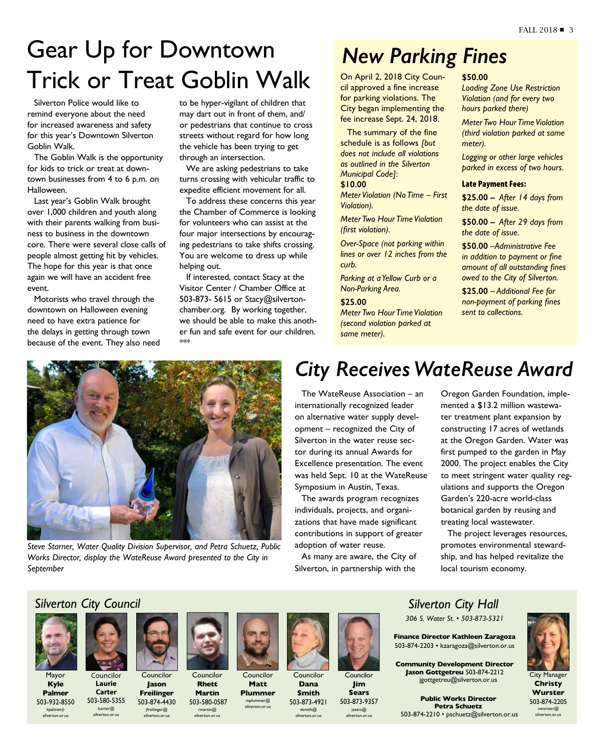# Gear Up for Downtown Trick or Treat Goblin Walk

Silverton Police would like to remind everyone about the need for increased awareness and safety for this year's Downtown Silverton Goblin Walk.

The Goblin Walk is the opportunity for kids to trick or treat at downtown businesses from 4 to 6 p.m. on Halloween.

Last year's Goblin Walk brought over 1,000 children and youth along with their parents walking from business to business in the downtown core. There were several close calls of people almost getting hit by vehicles. The hope for this year is that once again we will have an accident free event.

Motorists who travel through the downtown on Halloween evening need to have extra patience for the delays in getting through town because of the event. They also need to be hyper-vigilant of children that may dart out in front of them, and/ or pedestrians that continue to cross streets without regard for how long the vehicle has been trying to get through an intersection.

We are asking pedestrians to take turns crossing with vehicular traffic to expedite efficient movement for all.

To address these concerns this year the Chamber of Commerce is looking for volunteers who can assist at the four major intersections by encouraging pedestrians to take shifts crossing. You are welcome to dress up while helping out.

If interested, contact Stacy at the Visitor Center / Chamber Office at 503-873- 5615 or Stacy@silvertonchamber.org. By working together, we should be able to make this another fun and safe event for our children. \*\*\*

## *New Parking Fines*

On April 2, 2018 City Council approved a fine increase for parking violations. The City began implementing the fee increase Sept. 24, 2018.

The summary of the fine schedule is as follows *[but does not include all violations as outlined in the Silverton Municipal Code]*: **\$10.00**

*Meter Violation (No Time – First Violation).*

*Meter Two Hour Time Violation (first violation).*

*Over-Space (not parking within lines or over 12 inches from the curb.*

*Parking at a Yellow Curb or a Non-Parking Area.* 

**\$25.00** *Meter Two Hour Time Violation (second violation parked at same meter).*

### **\$50.00**

*Loading Zone Use Restriction Violation (and for every two hours parked there)*

*Meter Two Hour Time Violation (third violation parked at same meter).*

*Logging or other large vehicles parked in excess of two hours.*

#### Late Payment Fees:

**\$25.00 –** *After 14 days from the date of issue.*

**\$50.00 –** *After 29 days from the date of issue.*

**\$50.00** *–Administrative Fee in addition to payment or fine amount of all outstanding fines owed to the City of Silverton.*

**\$25.00** *– Additional Fee for non-payment of parking fines sent to collections.*



*Steve Starner, Water Quality Division Supervisor, and Petra Schuetz, Public Works Director, display the WateReuse Award presented to the City in September*

## *City Receives WateReuse Award*

The WateReuse Association – an internationally recognized leader on alternative water supply development – recognized the City of Silverton in the water reuse sector during its annual Awards for Excellence presentation. The event was held Sept. 10 at the WateReuse Symposium in Austin, Texas.

The awards program recognizes individuals, projects, and organizations that have made significant contributions in support of greater adoption of water reuse.

As many are aware, the City of Silverton, in partnership with the

Oregon Garden Foundation, implemented a \$13.2 million wastewater treatment plant expansion by constructing 17 acres of wetlands at the Oregon Garden. Water was first pumped to the garden in May 2000. The project enables the City to meet stringent water quality regulations and supports the Oregon Garden's 220-acre world-class botanical garden by reusing and treating local wastewater.

The project leverages resources, promotes environmental stewardship, and has helped revitalize the local tourism economy.

### *Silverton City Council*



Mayor **Kyle Palmer** 503-932-8550

kpalmer@ silverton.or.us

Councilor **Laurie Carter** 503-580-5355 lcarter@ silverton.or.us



**Jason Freilinger** 503-874-4430 jfreilinger@ silverton.or.us



Councilor **Matt Plummer** 

mplummer@ silverton.or.us

**Rhett Martin** 503-580-0587 rmartin@ silverton.or.us



Councilor **Dana Smith** 503-873-4921



dsmith@ silverton.or.us



Councilor **Jim Sears** 503-873-9357 jsears@ silverton.or.us

## *Silverton City Hall*

*306 S. Water St. • 503-873-5321*

**Finance Director Kathleen Zaragoza** 503-874-2203 • kzaragoza@silverton.or.us

**Community Development Director Jason Gottgetreu** 503-874-2212 jgottgetreu@silverton.or.us

**Public Works Director Petra Schuetz** 503-874-2210 • pschuetz@silverton.or.us



**Christy Wurster** 503-874-2205 cwurster@ silverton.or.us